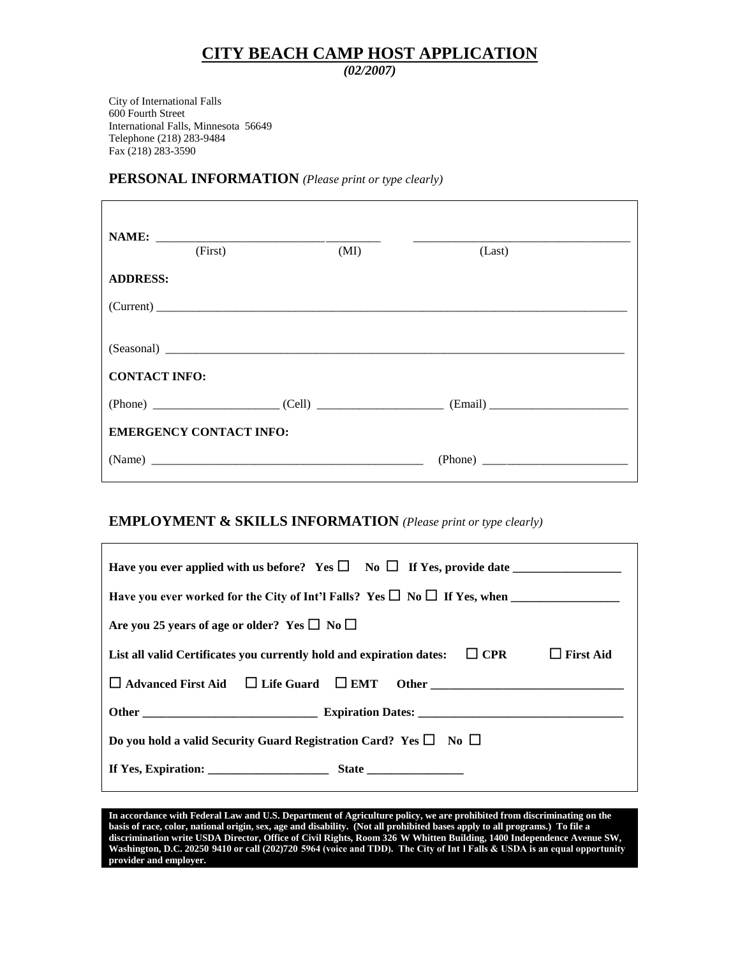## **CITY BEACH CAMP HOST APPLICATION**

*(02/2007)*

City of International Falls 600 Fourth Street International Falls, Minnesota 56649 Telephone (218) 283-9484 Fax (218) 283-3590

#### **PERSONAL INFORMATION** *(Please print or type clearly)*

| (First)                                       | (MI) | (Last) |  |  |  |  |
|-----------------------------------------------|------|--------|--|--|--|--|
| <b>ADDRESS:</b>                               |      |        |  |  |  |  |
|                                               |      |        |  |  |  |  |
|                                               |      |        |  |  |  |  |
| <b>CONTACT INFO:</b>                          |      |        |  |  |  |  |
| $(Phone)$ $(Cell)$ $(Cell)$ $(Ell)$ $(Email)$ |      |        |  |  |  |  |
| <b>EMERGENCY CONTACT INFO:</b>                |      |        |  |  |  |  |
|                                               |      |        |  |  |  |  |
|                                               |      |        |  |  |  |  |

### **EMPLOYMENT & SKILLS INFORMATION** *(Please print or type clearly)*

| Have you ever applied with us before? Yes $\square$ No $\square$ If Yes, provide date               |  |  |  |  |
|-----------------------------------------------------------------------------------------------------|--|--|--|--|
| Have you ever worked for the City of Int'l Falls? Yes $\square$ No $\square$ If Yes, when           |  |  |  |  |
| Are you 25 years of age or older? Yes $\square$ No $\square$                                        |  |  |  |  |
| List all valid Certificates you currently hold and expiration dates: $\Box$ CPR<br>$\Box$ First Aid |  |  |  |  |
|                                                                                                     |  |  |  |  |
|                                                                                                     |  |  |  |  |
| Do you hold a valid Security Guard Registration Card? Yes $\square$ No $\square$                    |  |  |  |  |
|                                                                                                     |  |  |  |  |

**In accordance with Federal Law and U.S. Department of Agriculture policy, we are prohibited from discriminating on the basis of race, color, national origin, sex, age and disability. (Not all prohibited bases apply to all programs.) To file a discrimination write USDA Director, Office of Civil Rights, Room 326-W Whitten Building, 1400 Independence Avenue SW,**  Washington, D.C. 20250-9410 or call (202)720-5964 (voice and TDD). The City of Int I Falls & USDA is an equal opportunity **provider and employer.**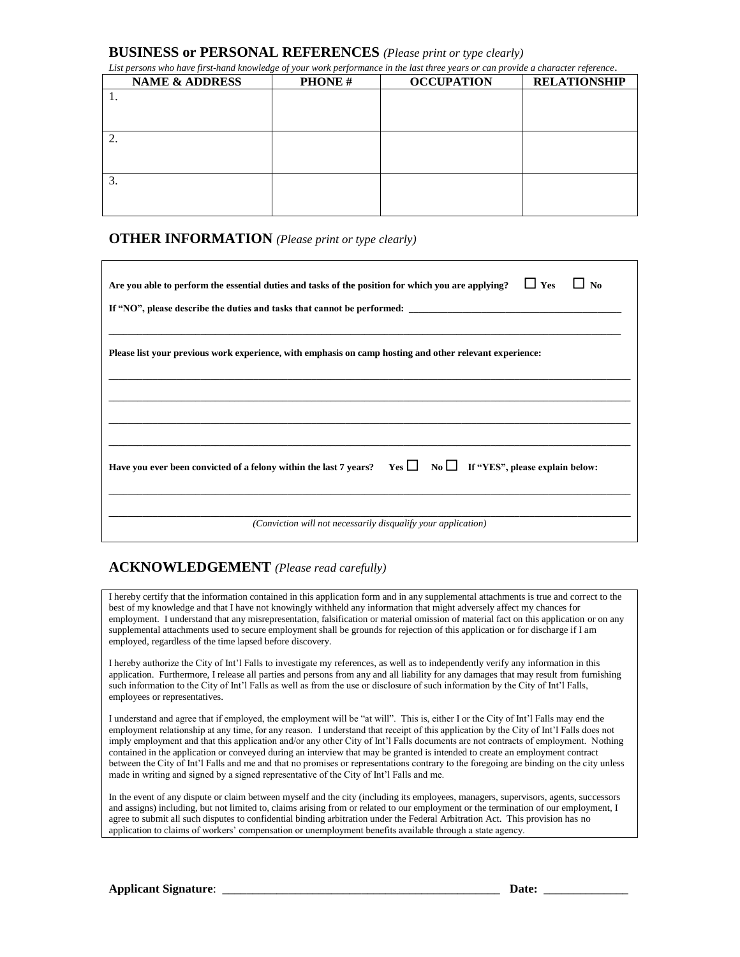#### **BUSINESS or PERSONAL REFERENCES** *(Please print or type clearly)*

| <b>NAME &amp; ADDRESS</b> | <b>PHONE#</b> | <b>OCCUPATION</b> | <b>RELATIONSHIP</b> |
|---------------------------|---------------|-------------------|---------------------|
|                           |               |                   |                     |
|                           |               |                   |                     |
|                           |               |                   |                     |
|                           |               |                   |                     |
|                           |               |                   |                     |
|                           |               |                   |                     |
|                           |               |                   |                     |
|                           |               |                   |                     |
|                           |               |                   |                     |

*List persons who have first-hand knowledge of your work performance in the last three years or can provide a character reference.*

#### **OTHER INFORMATION** *(Please print or type clearly)*

| Are you able to perform the essential duties and tasks of the position for which you are applying? $\square$ Yes<br>N <sub>0</sub> |  |  |  |  |
|------------------------------------------------------------------------------------------------------------------------------------|--|--|--|--|
|                                                                                                                                    |  |  |  |  |
| Please list your previous work experience, with emphasis on camp hosting and other relevant experience:                            |  |  |  |  |
|                                                                                                                                    |  |  |  |  |
|                                                                                                                                    |  |  |  |  |
| Have you ever been convicted of a felony within the last 7 years? Yes $\Box$ No $\Box$ If "YES", please explain below:             |  |  |  |  |
| (Conviction will not necessarily disqualify your application)                                                                      |  |  |  |  |

#### **ACKNOWLEDGEMENT** *(Please read carefully)*

I hereby certify that the information contained in this application form and in any supplemental attachments is true and correct to the best of my knowledge and that I have not knowingly withheld any information that might adversely affect my chances for employment. I understand that any misrepresentation, falsification or material omission of material fact on this application or on any supplemental attachments used to secure employment shall be grounds for rejection of this application or for discharge if I am employed, regardless of the time lapsed before discovery.

I hereby authorize the City of Int'l Falls to investigate my references, as well as to independently verify any information in this application. Furthermore, I release all parties and persons from any and all liability for any damages that may result from furnishing such information to the City of Int'l Falls as well as from the use or disclosure of such information by the City of Int'l Falls, employees or representatives.

I understand and agree that if employed, the employment will be "at will". This is, either I or the City of Int'l Falls may end the employment relationship at any time, for any reason. I understand that receipt of this application by the City of Int'l Falls does not imply employment and that this application and/or any other City of Int'l Falls documents are not contracts of employment. Nothing contained in the application or conveyed during an interview that may be granted is intended to create an employment contract between the City of Int'l Falls and me and that no promises or representations contrary to the foregoing are binding on the city unless made in writing and signed by a signed representative of the City of Int'l Falls and me.

In the event of any dispute or claim between myself and the city (including its employees, managers, supervisors, agents, successors and assigns) including, but not limited to, claims arising from or related to our employment or the termination of our employment, I agree to submit all such disputes to confidential binding arbitration under the Federal Arbitration Act. This provision has no application to claims of workers' compensation or unemployment benefits available through a state agency.